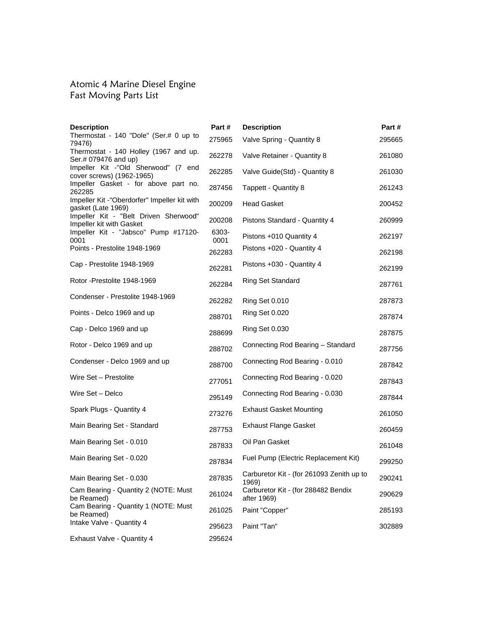#### Atomic 4 Marine Diesel Engine Fast Moving Parts List

| <b>Description</b>                                                 | Part#         | <b>Description</b>                                 | Part#  |
|--------------------------------------------------------------------|---------------|----------------------------------------------------|--------|
| Thermostat - 140 "Dole" (Ser.# 0 up to<br>79476)                   | 275965        | Valve Spring - Quantity 8                          | 295665 |
| Thermostat - 140 Holley (1967 and up.<br>Ser.# 079476 and up)      | 262278        | Valve Retainer - Quantity 8                        | 261080 |
| Impeller Kit -"Old Sherwood" (7 end<br>cover screws) (1962-1965)   | 262285        | Valve Guide(Std) - Quantity 8                      | 261030 |
| Impeller Gasket - for above part no.<br>262285                     | 287456        | Tappett - Quantity 8                               | 261243 |
| Impeller Kit -"Oberdorfer" Impeller kit with<br>gasket (Late 1969) | 200209        | <b>Head Gasket</b>                                 | 200452 |
| Impeller Kit - "Belt Driven Sherwood"<br>Impeller kit with Gasket  | 200208        | Pistons Standard - Quantity 4                      | 260999 |
| Impeller Kit - "Jabsco" Pump #17120-<br>0001                       | 6303-<br>0001 | Pistons +010 Quantity 4                            | 262197 |
| Points - Prestolite 1948-1969                                      | 262283        | Pistons +020 - Quantity 4                          | 262198 |
| Cap - Prestolite 1948-1969                                         | 262281        | Pistons +030 - Quantity 4                          | 262199 |
| Rotor - Prestolite 1948-1969                                       | 262284        | Ring Set Standard                                  | 287761 |
| Condenser - Prestolite 1948-1969                                   | 262282        | Ring Set 0.010                                     | 287873 |
| Points - Delco 1969 and up                                         | 288701        | <b>Ring Set 0.020</b>                              | 287874 |
| Cap - Delco 1969 and up                                            | 288699        | <b>Ring Set 0.030</b>                              | 287875 |
| Rotor - Delco 1969 and up                                          | 288702        | Connecting Rod Bearing - Standard                  | 287756 |
| Condenser - Delco 1969 and up                                      | 288700        | Connecting Rod Bearing - 0.010                     | 287842 |
| Wire Set - Prestolite                                              | 277051        | Connecting Rod Bearing - 0.020                     | 287843 |
| Wire Set - Delco                                                   | 295149        | Connecting Rod Bearing - 0.030                     | 287844 |
| Spark Plugs - Quantity 4                                           | 273276        | <b>Exhaust Gasket Mounting</b>                     | 261050 |
| Main Bearing Set - Standard                                        | 287753        | <b>Exhaust Flange Gasket</b>                       | 260459 |
| Main Bearing Set - 0.010                                           | 287833        | Oil Pan Gasket                                     | 261048 |
| Main Bearing Set - 0.020                                           | 287834        | Fuel Pump (Electric Replacement Kit)               | 299250 |
| Main Bearing Set - 0.030                                           | 287835        | Carburetor Kit - (for 261093 Zenith up to<br>1969) | 290241 |
| Cam Bearing - Quantity 2 (NOTE: Must<br>be Reamed)                 | 261024        | Carburetor Kit - (for 288482 Bendix<br>after 1969) | 290629 |
| Cam Bearing - Quantity 1 (NOTE: Must<br>be Reamed)                 | 261025        | Paint "Copper"                                     | 285193 |
| Intake Valve - Quantity 4                                          | 295623        | Paint "Tan"                                        | 302889 |
| Exhaust Valve - Quantity 4                                         | 295624        |                                                    |        |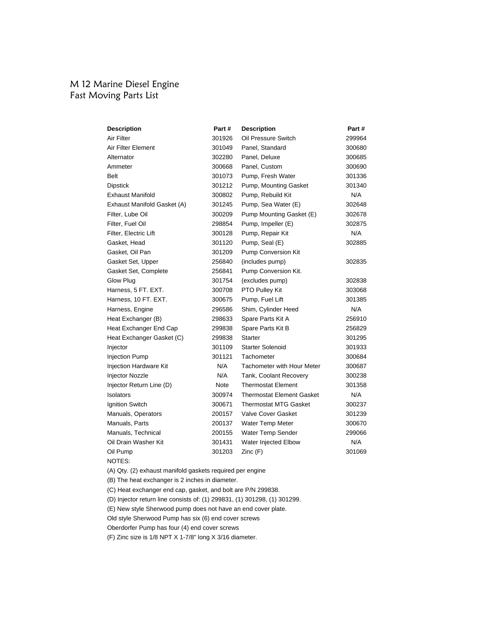# M 12 Marine Diesel Engine Fast Moving Parts List

| <b>Description</b>            | Part#  | <b>Description</b>                | Part # |
|-------------------------------|--------|-----------------------------------|--------|
| Air Filter                    | 301926 | Oil Pressure Switch               | 299964 |
| Air Filter Element            | 301049 | Panel, Standard                   | 300680 |
| Alternator                    | 302280 | Panel, Deluxe                     | 300685 |
| Ammeter                       | 300668 | Panel, Custom                     | 300690 |
| Belt                          | 301073 | Pump, Fresh Water                 | 301336 |
| <b>Dipstick</b>               | 301212 | Pump, Mounting Gasket             | 301340 |
| <b>Exhaust Manifold</b>       | 300802 | Pump, Rebuild Kit                 | N/A    |
| Exhaust Manifold Gasket (A)   | 301245 | Pump, Sea Water (E)               | 302648 |
| Filter, Lube Oil              | 300209 | Pump Mounting Gasket (E)          | 302678 |
| Filter, Fuel Oil              | 298854 | Pump, Impeller (E)                | 302875 |
| Filter, Electric Lift         | 300128 | Pump, Repair Kit                  | N/A    |
| Gasket, Head                  | 301120 | Pump, Seal (E)                    | 302885 |
| Gasket, Oil Pan               | 301209 | <b>Pump Conversion Kit</b>        |        |
| Gasket Set, Upper             | 256840 | (includes pump)                   | 302835 |
| Gasket Set, Complete          | 256841 | Pump Conversion Kit.              |        |
| Glow Plug                     | 301754 | (excludes pump)                   | 302838 |
| Harness, 5 FT. EXT.           | 300708 | PTO Pulley Kit                    | 303068 |
| Harness, 10 FT. EXT.          | 300675 | Pump, Fuel Lift                   | 301385 |
| Harness, Engine               | 296586 | Shim, Cylinder Heed               | N/A    |
| Heat Exchanger (B)            | 298633 | Spare Parts Kit A                 | 256910 |
| Heat Exchanger End Cap        | 299838 | Spare Parts Kit B                 | 256829 |
| Heat Exchanger Gasket (C)     | 299838 | <b>Starter</b>                    | 301295 |
| Injector                      | 301109 | <b>Starter Solenoid</b>           | 301933 |
| <b>Injection Pump</b>         | 301121 | Tachometer                        | 300684 |
| <b>Injection Hardware Kit</b> | N/A    | <b>Tachometer with Hour Meter</b> | 300687 |
| <b>Injector Nozzle</b>        | N/A    | Tank, Coolant Recovery            | 300238 |
| Injector Return Line (D)      | Note   | <b>Thermostat Element</b>         | 301358 |
| Isolators                     | 300974 | <b>Thermostat Element Gasket</b>  | N/A    |
| Ignition Switch               | 300671 | Thermostat MTG Gasket             | 300237 |
| Manuals, Operators            | 200157 | <b>Valve Cover Gasket</b>         | 301239 |
| Manuals, Parts                | 200137 | Water Temp Meter                  | 300670 |
| Manuals, Technical            | 200155 | Water Temp Sender                 | 299066 |
| Oil Drain Washer Kit          | 301431 | Water Injected Elbow              | N/A    |
| Oil Pump                      | 301203 | Zinc (F)                          | 301069 |
|                               |        |                                   |        |

NOTES:

(A) Qty. (2) exhaust manifold gaskets required per engine

(B) The heat exchanger is 2 inches in diameter.

(C) Heat exchanger end cap, gasket, and bolt are P/N 299838.

(D) Injector return line consists of: (1) 299831, (1) 301298, (1) 301299.

(E) New style Sherwood pump does not have an end cover plate.

Old style Sherwood Pump has six (6) end cover screws

Oberdorfer Pump has four (4) end cover screws

(F) Zinc size is 1/8 NPT X 1-7/8" long X 3/16 diameter.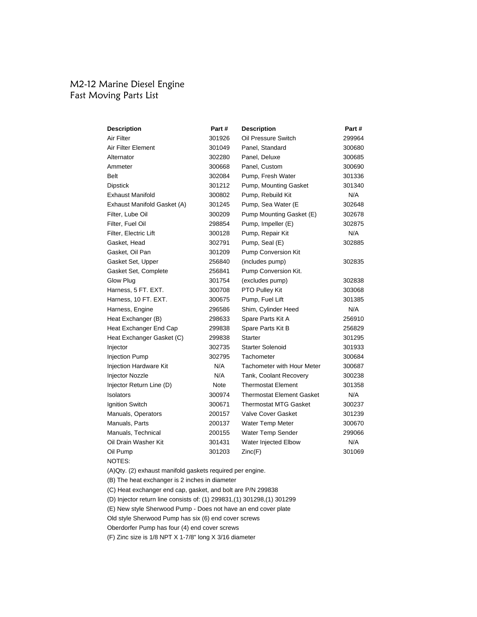# M2-12 Marine Diesel Engine Fast Moving Parts List

| <b>Description</b>          | Part # | <b>Description</b>                | Part#  |
|-----------------------------|--------|-----------------------------------|--------|
| Air Filter                  | 301926 | Oil Pressure Switch               | 299964 |
| Air Filter Element          | 301049 | Panel, Standard                   | 300680 |
| Alternator                  | 302280 | Panel, Deluxe                     | 300685 |
| Ammeter                     | 300668 | Panel, Custom                     | 300690 |
| <b>Belt</b>                 | 302084 | Pump, Fresh Water                 | 301336 |
| <b>Dipstick</b>             | 301212 | Pump, Mounting Gasket             | 301340 |
| <b>Exhaust Manifold</b>     | 300802 | Pump, Rebuild Kit                 | N/A    |
| Exhaust Manifold Gasket (A) | 301245 | Pump, Sea Water (E                | 302648 |
| Filter, Lube Oil            | 300209 | Pump Mounting Gasket (E)          | 302678 |
| Filter, Fuel Oil            | 298854 | Pump, Impeller (E)                | 302875 |
| Filter, Electric Lift       | 300128 | Pump, Repair Kit                  | N/A    |
| Gasket, Head                | 302791 | Pump, Seal (E)                    | 302885 |
| Gasket, Oil Pan             | 301209 | Pump Conversion Kit               |        |
| Gasket Set, Upper           | 256840 | (includes pump)                   | 302835 |
| Gasket Set, Complete        | 256841 | Pump Conversion Kit.              |        |
| Glow Plug                   | 301754 | (excludes pump)                   | 302838 |
| Harness, 5 FT. EXT.         | 300708 | PTO Pulley Kit                    | 303068 |
| Harness, 10 FT. EXT.        | 300675 | Pump, Fuel Lift                   | 301385 |
| Harness, Engine             | 296586 | Shim, Cylinder Heed               | N/A    |
| Heat Exchanger (B)          | 298633 | Spare Parts Kit A                 | 256910 |
| Heat Exchanger End Cap      | 299838 | Spare Parts Kit B                 | 256829 |
| Heat Exchanger Gasket (C)   | 299838 | <b>Starter</b>                    | 301295 |
| Injector                    | 302735 | <b>Starter Solenoid</b>           | 301933 |
| <b>Injection Pump</b>       | 302795 | Tachometer                        | 300684 |
| Injection Hardware Kit      | N/A    | <b>Tachometer with Hour Meter</b> | 300687 |
| <b>Injector Nozzle</b>      | N/A    | Tank, Coolant Recovery            | 300238 |
| Injector Return Line (D)    | Note   | <b>Thermostat Element</b>         | 301358 |
| Isolators                   | 300974 | <b>Thermostat Element Gasket</b>  | N/A    |
| Ignition Switch             | 300671 | <b>Thermostat MTG Gasket</b>      | 300237 |
| Manuals, Operators          | 200157 | <b>Valve Cover Gasket</b>         | 301239 |
| Manuals, Parts              | 200137 | Water Temp Meter                  | 300670 |
| Manuals, Technical          | 200155 | Water Temp Sender                 | 299066 |
| Oil Drain Washer Kit        | 301431 | Water Injected Elbow              | N/A    |
| Oil Pump                    | 301203 | Zinc(F)                           | 301069 |
|                             |        |                                   |        |

NOTES:

(A)Qty. (2) exhaust manifold gaskets required per engine.

(B) The heat exchanger is 2 inches in diameter

(C) Heat exchanger end cap, gasket, and bolt are P/N 299838

(D) Injector return line consists of: (1) 299831,(1) 301298,(1) 301299

(E) New style Sherwood Pump - Does not have an end cover plate

Old style Sherwood Pump has six (6) end cover screws

Oberdorfer Pump has four (4) end cover screws

(F) Zinc size is 1/8 NPT X 1-7/8" long X 3/16 diameter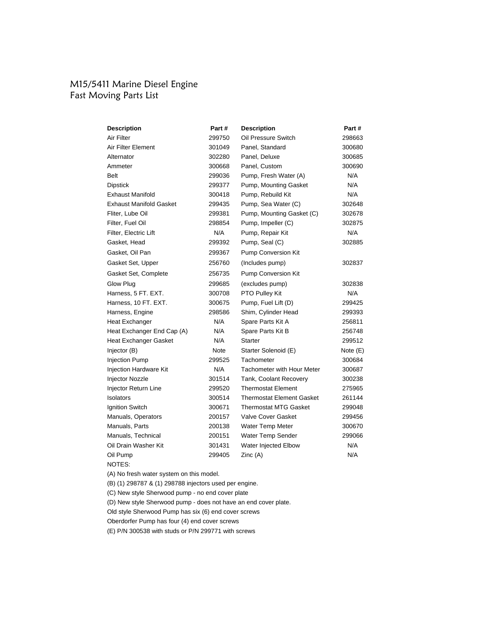# M15/5411 Marine Diesel Engine Fast Moving Parts List

| <b>Description</b>             | Part # | <b>Description</b>               | Part #     |
|--------------------------------|--------|----------------------------------|------------|
| Air Filter                     | 299750 | Oil Pressure Switch              | 298663     |
| Air Filter Element             | 301049 | Panel, Standard                  | 300680     |
| Alternator                     | 302280 | Panel, Deluxe                    | 300685     |
| Ammeter                        | 300668 | Panel, Custom                    | 300690     |
| Belt                           | 299036 | Pump, Fresh Water (A)            | N/A        |
| <b>Dipstick</b>                | 299377 | Pump, Mounting Gasket            | N/A        |
| <b>Exhaust Manifold</b>        | 300418 | Pump, Rebuild Kit                | N/A        |
| <b>Exhaust Manifold Gasket</b> | 299435 | Pump, Sea Water (C)              | 302648     |
| Fliter, Lube Oil               | 299381 | Pump, Mounting Gasket (C)        | 302678     |
| Filter, Fuel Oil               | 298854 | Pump, Impeller (C)               | 302875     |
| Filter, Electric Lift          | N/A    | Pump, Repair Kit                 | N/A        |
| Gasket, Head                   | 299392 | Pump, Seal (C)                   | 302885     |
| Gasket, Oil Pan                | 299367 | <b>Pump Conversion Kit</b>       |            |
| Gasket Set, Upper              | 256760 | (Includes pump)                  | 302837     |
| Gasket Set, Complete           | 256735 | <b>Pump Conversion Kit</b>       |            |
| Glow Plug                      | 299685 | (excludes pump)                  | 302838     |
| Harness, 5 FT. EXT.            | 300708 | PTO Pulley Kit                   | N/A        |
| Harness, 10 FT. EXT.           | 300675 | Pump, Fuel Lift (D)              | 299425     |
| Harness, Engine                | 298586 | Shim, Cylinder Head              | 299393     |
| Heat Exchanger                 | N/A    | Spare Parts Kit A                | 256811     |
| Heat Exchanger End Cap (A)     | N/A    | Spare Parts Kit B                | 256748     |
| <b>Heat Exchanger Gasket</b>   | N/A    | <b>Starter</b>                   | 299512     |
| Injector (B)                   | Note   | Starter Solenoid (E)             | Note $(E)$ |
| <b>Injection Pump</b>          | 299525 | Tachometer                       | 300684     |
| Injection Hardware Kit         | N/A    | Tachometer with Hour Meter       | 300687     |
| Injector Nozzle                | 301514 | Tank, Coolant Recovery           | 300238     |
| Injector Return Line           | 299520 | <b>Thermostat Element</b>        | 275965     |
| Isolators                      | 300514 | <b>Thermostat Element Gasket</b> | 261144     |
| Ignition Switch                | 300671 | <b>Thermostat MTG Gasket</b>     | 299048     |
| Manuals, Operators             | 200157 | <b>Valve Cover Gasket</b>        | 299456     |
| Manuals, Parts                 | 200138 | Water Temp Meter                 | 300670     |
| Manuals, Technical             | 200151 | <b>Water Temp Sender</b>         | 299066     |
| Oil Drain Washer Kit           | 301431 | Water Injected Elbow             | N/A        |
| Oil Pump                       | 299405 | Zinc (A)                         | N/A        |
|                                |        |                                  |            |

NOTES:

(A) No fresh water system on this model.

(B) (1) 298787 & (1) 298788 injectors used per engine.

(C) New style Sherwood pump - no end cover plate

(D) New style Sherwood pump - does not have an end cover plate.

Old style Sherwood Pump has six (6) end cover screws

Oberdorfer Pump has four (4) end cover screws

(E) P/N 300538 with studs or P/N 299771 with screws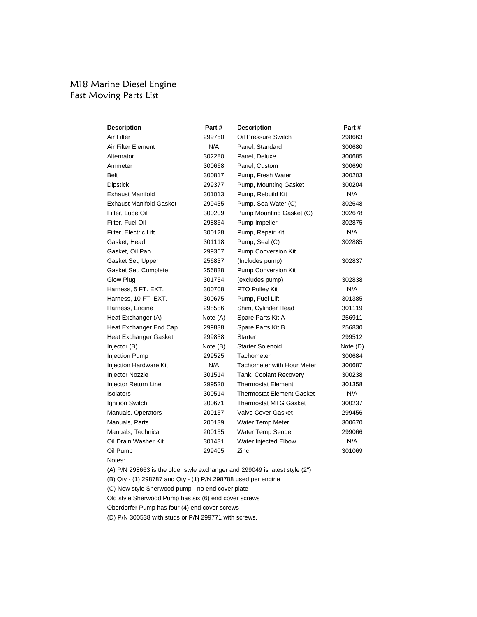# M18 Marine Diesel Engine Fast Moving Parts List

| <b>Description</b>             | Part #   | <b>Description</b>                | Part #   |
|--------------------------------|----------|-----------------------------------|----------|
| Air Filter                     | 299750   | Oil Pressure Switch               | 298663   |
| Air Filter Element             | N/A      | Panel, Standard                   | 300680   |
| Alternator                     | 302280   | Panel, Deluxe                     | 300685   |
| Ammeter                        | 300668   | Panel, Custom                     | 300690   |
| Belt                           | 300817   | Pump, Fresh Water                 | 300203   |
| <b>Dipstick</b>                | 299377   | Pump, Mounting Gasket             | 300204   |
| <b>Exhaust Manifold</b>        | 301013   | Pump, Rebuild Kit                 | N/A      |
| <b>Exhaust Manifold Gasket</b> | 299435   | Pump, Sea Water (C)               | 302648   |
| Filter, Lube Oil               | 300209   | Pump Mounting Gasket (C)          | 302678   |
| Filter, Fuel Oil               | 298854   | Pump Impeller                     | 302875   |
| Filter, Electric Lift          | 300128   | Pump, Repair Kit                  | N/A      |
| Gasket, Head                   | 301118   | Pump, Seal (C)                    | 302885   |
| Gasket, Oil Pan                | 299367   | Pump Conversion Kit               |          |
| Gasket Set, Upper              | 256837   | (Includes pump)                   | 302837   |
| Gasket Set, Complete           | 256838   | Pump Conversion Kit               |          |
| Glow Plug                      | 301754   | (excludes pump)                   | 302838   |
| Harness, 5 FT. EXT.            | 300708   | PTO Pulley Kit                    | N/A      |
| Harness, 10 FT. EXT.           | 300675   | Pump, Fuel Lift                   | 301385   |
| Harness, Engine                | 298586   | Shim, Cylinder Head               | 301119   |
| Heat Exchanger (A)             | Note (A) | Spare Parts Kit A                 | 256911   |
| Heat Exchanger End Cap         | 299838   | Spare Parts Kit B                 | 256830   |
| Heat Exchanger Gasket          | 299838   | Starter                           | 299512   |
| Injector (B)                   | Note (B) | <b>Starter Solenoid</b>           | Note (D) |
| <b>Injection Pump</b>          | 299525   | Tachometer                        | 300684   |
| Injection Hardware Kit         | N/A      | <b>Tachometer with Hour Meter</b> | 300687   |
| Injector Nozzle                | 301514   | Tank, Coolant Recovery            | 300238   |
| Injector Return Line           | 299520   | <b>Thermostat Element</b>         | 301358   |
| Isolators                      | 300514   | <b>Thermostat Element Gasket</b>  | N/A      |
| Ignition Switch                | 300671   | Thermostat MTG Gasket             | 300237   |
| Manuals, Operators             | 200157   | Valve Cover Gasket                | 299456   |
| Manuals, Parts                 | 200139   | <b>Water Temp Meter</b>           | 300670   |
| Manuals, Technical             | 200155   | Water Temp Sender                 | 299066   |
| Oil Drain Washer Kit           | 301431   | Water Injected Elbow              | N/A      |
| Oil Pump                       | 299405   | Zinc                              | 301069   |
|                                |          |                                   |          |

Notes:

(A) P/N 298663 is the older style exchanger and 299049 is latest style (2")

(B) Qty - (1) 298787 and Qty - (1) P/N 298788 used per engine

(C) New style Sherwood pump - no end cover plate

Old style Sherwood Pump has six (6) end cover screws

Oberdorfer Pump has four (4) end cover screws

(D) P/N 300538 with studs or P/N 299771 with screws.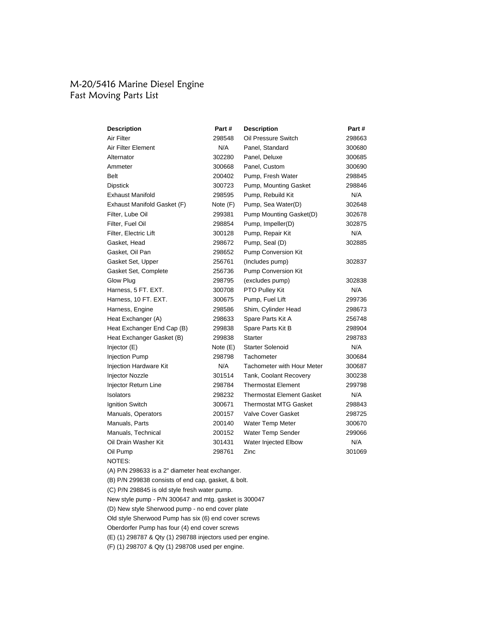# M-20/5416 Marine Diesel Engine Fast Moving Parts List

| <b>Description</b>          | Part #   | <b>Description</b>                | Part # |
|-----------------------------|----------|-----------------------------------|--------|
| Air Filter                  | 298548   | Oil Pressure Switch               | 298663 |
| Air Filter Element          | N/A      | Panel, Standard                   | 300680 |
| Alternator                  | 302280   | Panel, Deluxe                     | 300685 |
| Ammeter                     | 300668   | Panel, Custom                     | 300690 |
| Belt                        | 200402   | Pump, Fresh Water                 | 298845 |
| <b>Dipstick</b>             | 300723   | Pump, Mounting Gasket             | 298846 |
| <b>Exhaust Manifold</b>     | 298595   | Pump, Rebuild Kit                 | N/A    |
| Exhaust Manifold Gasket (F) | Note (F) | Pump, Sea Water(D)                | 302648 |
| Filter, Lube Oil            | 299381   | Pump Mounting Gasket(D)           | 302678 |
| Filter, Fuel Oil            | 298854   | Pump, Impeller(D)                 | 302875 |
| Filter, Electric Lift       | 300128   | Pump, Repair Kit                  | N/A    |
| Gasket, Head                | 298672   | Pump, Seal (D)                    | 302885 |
| Gasket, Oil Pan             | 298652   | Pump Conversion Kit               |        |
| Gasket Set, Upper           | 256761   | (Includes pump)                   | 302837 |
| Gasket Set, Complete        | 256736   | <b>Pump Conversion Kit</b>        |        |
| Glow Plug                   | 298795   | (excludes pump)                   | 302838 |
| Harness, 5 FT. EXT.         | 300708   | PTO Pulley Kit                    | N/A    |
| Harness, 10 FT. EXT.        | 300675   | Pump, Fuel Lift                   | 299736 |
| Harness, Engine             | 298586   | Shim, Cylinder Head               | 298673 |
| Heat Exchanger (A)          | 298633   | Spare Parts Kit A                 | 256748 |
| Heat Exchanger End Cap (B)  | 299838   | Spare Parts Kit B                 | 298904 |
| Heat Exchanger Gasket (B)   | 299838   | <b>Starter</b>                    | 298783 |
| Injector (E)                | Note (E) | <b>Starter Solenoid</b>           | N/A    |
| Injection Pump              | 298798   | Tachometer                        | 300684 |
| Injection Hardware Kit      | N/A      | <b>Tachometer with Hour Meter</b> | 300687 |
| Injector Nozzle             | 301514   | Tank, Coolant Recovery            | 300238 |
| Injector Return Line        | 298784   | <b>Thermostat Element</b>         | 299798 |
| Isolators                   | 298232   | <b>Thermostat Element Gasket</b>  | N/A    |
| Ignition Switch             | 300671   | <b>Thermostat MTG Gasket</b>      | 298843 |
| Manuals, Operators          | 200157   | <b>Valve Cover Gasket</b>         | 298725 |
| Manuals, Parts              | 200140   | Water Temp Meter                  | 300670 |
| Manuals, Technical          | 200152   | Water Temp Sender                 | 299066 |
| Oil Drain Washer Kit        | 301431   | Water Injected Elbow              | N/A    |
| Oil Pump                    | 298761   | Zinc                              | 301069 |
|                             |          |                                   |        |

NOTES:

(A) P/N 298633 is a 2" diameter heat exchanger.

(B) P/N 299838 consists of end cap, gasket, & bolt.

(C) P/N 298845 is old style fresh water pump.

New style pump - P/N 300647 and mtg. gasket is 300047

(D) New style Sherwood pump - no end cover plate

Old style Sherwood Pump has six (6) end cover screws

Oberdorfer Pump has four (4) end cover screws

(E) (1) 298787 & Qty (1) 298788 injectors used per engine.

(F) (1) 298707 & Qty (1) 298708 used per engine.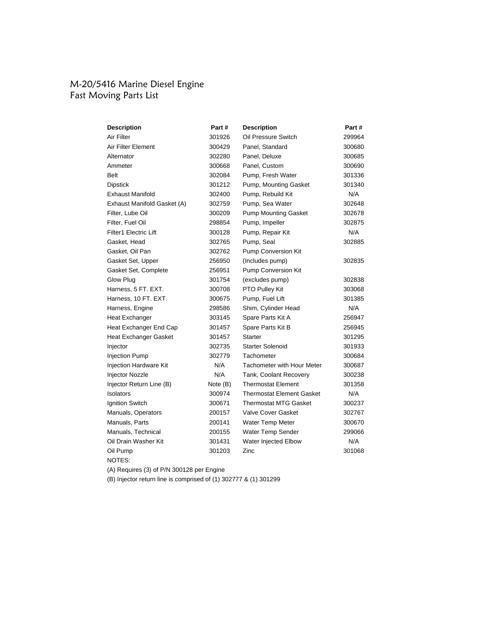### M-20/5416 Marine Diesel Engine Fast Moving Parts List

| <b>Description</b>           | Part#    | <b>Description</b>                | Part#  |
|------------------------------|----------|-----------------------------------|--------|
| Air Filter                   | 301926   | Oil Pressure Switch               | 299964 |
| Air Filter Element           | 300429   | Panel. Standard                   | 300680 |
| Alternator                   | 302280   | Panel, Deluxe                     | 300685 |
| Ammeter                      | 300668   | Panel, Custom                     | 300690 |
| Belt                         | 302084   | Pump, Fresh Water                 | 301336 |
| <b>Dipstick</b>              | 301212   | Pump, Mounting Gasket             | 301340 |
| <b>Exhaust Manifold</b>      | 302400   | Pump, Rebuild Kit                 | N/A    |
| Exhaust Manifold Gasket (A)  | 302759   | Pump, Sea Water                   | 302648 |
| Filter, Lube Oil             | 300209   | <b>Pump Mounting Gasket</b>       | 302678 |
| Filter, Fuel Oil             | 298854   | Pump, Impeller                    | 302875 |
| <b>Filter1 Electric Lift</b> | 300128   | Pump, Repair Kit                  | N/A    |
| Gasket, Head                 | 302765   | Pump, Seal                        | 302885 |
| Gasket, Oil Pan              | 302762   | Pump Conversion Kit               |        |
| Gasket Set, Upper            | 256950   | (Includes pump)                   | 302835 |
| Gasket Set, Complete         | 256951   | Pump Conversion Kit               |        |
| Glow Plug                    | 301754   | (excludes pump)                   | 302838 |
| Harness, 5 FT. EXT.          | 300708   | PTO Pulley Kit                    | 303068 |
| Harness, 10 FT. EXT.         | 300675   | Pump, Fuel Lift                   | 301385 |
| Harness, Engine              | 298586   | Shim, Cylinder Head               | N/A    |
| <b>Heat Exchanger</b>        | 303145   | Spare Parts Kit A                 | 256947 |
| Heat Exchanger End Cap       | 301457   | Spare Parts Kit B                 | 256945 |
| Heat Exchanger Gasket        | 301457   | <b>Starter</b>                    | 301295 |
| Injector                     | 302735   | <b>Starter Solenoid</b>           | 301933 |
| Injection Pump               | 302779   | Tachometer                        | 300684 |
| Injection Hardware Kit       | N/A      | <b>Tachometer with Hour Meter</b> | 300687 |
| Injector Nozzle              | N/A      | Tank, Coolant Recovery            | 300238 |
| Injector Return Line (B)     | Note (B) | <b>Thermostat Element</b>         | 301358 |
| Isolators                    | 300974   | <b>Thermostat Element Gasket</b>  | N/A    |
| Ignition Switch              | 300671   | <b>Thermostat MTG Gasket</b>      | 300237 |
| Manuals, Operators           | 200157   | <b>Valve Cover Gasket</b>         | 302767 |
| Manuals, Parts               | 200141   | Water Temp Meter                  | 300670 |
| Manuals, Technical           | 200155   | Water Temp Sender                 | 299066 |
| Oil Drain Washer Kit         | 301431   | Water Injected Elbow              | N/A    |
| Oil Pump                     | 301203   | Zinc                              | 301068 |
| NOTES:                       |          |                                   |        |

(A) Requires (3) of P/N 300128 per Engine

(B) Injector return line is comprised of (1) 302777 & (1) 301299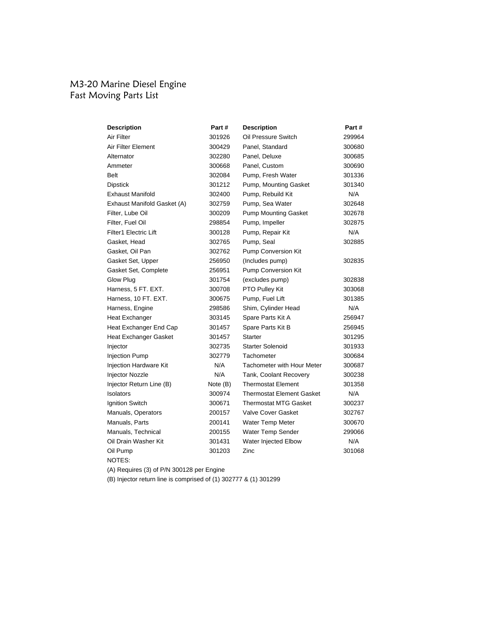### M3-20 Marine Diesel Engine Fast Moving Parts List

| <b>Description</b>            | Part#    | <b>Description</b>                | Part # |
|-------------------------------|----------|-----------------------------------|--------|
| Air Filter                    | 301926   | Oil Pressure Switch               | 299964 |
| Air Filter Element            | 300429   | Panel. Standard                   | 300680 |
| Alternator                    | 302280   | Panel, Deluxe                     | 300685 |
| Ammeter                       | 300668   | Panel, Custom                     | 300690 |
| <b>Belt</b>                   | 302084   | Pump, Fresh Water                 | 301336 |
| <b>Dipstick</b>               | 301212   | Pump, Mounting Gasket             | 301340 |
| <b>Exhaust Manifold</b>       | 302400   | Pump, Rebuild Kit                 | N/A    |
| Exhaust Manifold Gasket (A)   | 302759   | Pump, Sea Water                   | 302648 |
| Filter, Lube Oil              | 300209   | <b>Pump Mounting Gasket</b>       | 302678 |
| Filter, Fuel Oil              | 298854   | Pump, Impeller                    | 302875 |
| <b>Filter1 Electric Lift</b>  | 300128   | Pump, Repair Kit                  | N/A    |
| Gasket, Head                  | 302765   | Pump, Seal                        | 302885 |
| Gasket, Oil Pan               | 302762   | <b>Pump Conversion Kit</b>        |        |
| Gasket Set, Upper             | 256950   | (Includes pump)                   | 302835 |
| Gasket Set, Complete          | 256951   | Pump Conversion Kit               |        |
| Glow Plug                     | 301754   | (excludes pump)                   | 302838 |
| Harness, 5 FT. EXT.           | 300708   | PTO Pulley Kit                    | 303068 |
| Harness, 10 FT. EXT.          | 300675   | Pump, Fuel Lift                   | 301385 |
| Harness, Engine               | 298586   | Shim, Cylinder Head               | N/A    |
| <b>Heat Exchanger</b>         | 303145   | Spare Parts Kit A                 | 256947 |
| Heat Exchanger End Cap        | 301457   | Spare Parts Kit B                 | 256945 |
| Heat Exchanger Gasket         | 301457   | <b>Starter</b>                    | 301295 |
| Injector                      | 302735   | <b>Starter Solenoid</b>           | 301933 |
| <b>Injection Pump</b>         | 302779   | Tachometer                        | 300684 |
| <b>Injection Hardware Kit</b> | N/A      | <b>Tachometer with Hour Meter</b> | 300687 |
| <b>Injector Nozzle</b>        | N/A      | Tank, Coolant Recovery            | 300238 |
| Injector Return Line (B)      | Note (B) | <b>Thermostat Element</b>         | 301358 |
| <b>Isolators</b>              | 300974   | Thermostat Element Gasket         | N/A    |
| Ignition Switch               | 300671   | <b>Thermostat MTG Gasket</b>      | 300237 |
| Manuals, Operators            | 200157   | <b>Valve Cover Gasket</b>         | 302767 |
| Manuals, Parts                | 200141   | <b>Water Temp Meter</b>           | 300670 |
| Manuals, Technical            | 200155   | Water Temp Sender                 | 299066 |
| Oil Drain Washer Kit          | 301431   | Water Injected Elbow              | N/A    |
| Oil Pump                      | 301203   | Zinc                              | 301068 |
| NOTES:                        |          |                                   |        |

(A) Requires (3) of P/N 300128 per Engine

(B) Injector return line is comprised of (1) 302777 & (1) 301299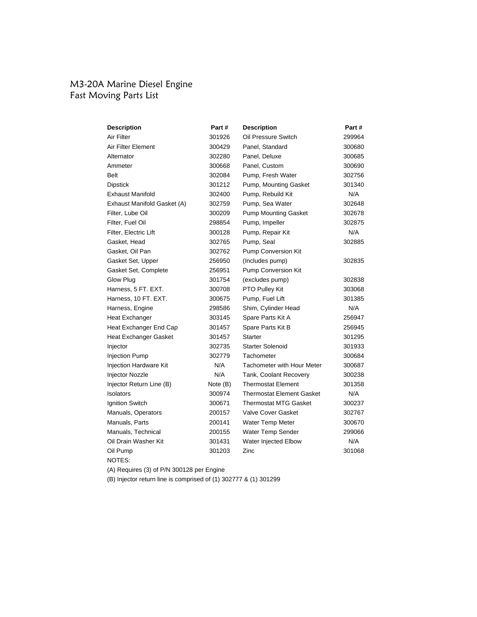### M3-20A Marine Diesel Engine Fast Moving Parts List

| <b>Description</b>           | Part#    | <b>Description</b>                | Part # |
|------------------------------|----------|-----------------------------------|--------|
| Air Filter                   | 301926   | Oil Pressure Switch               | 299964 |
| Air Filter Element           | 300429   | Panel, Standard                   | 300680 |
| Alternator                   | 302280   | Panel, Deluxe                     | 300685 |
| Ammeter                      | 300668   | Panel, Custom                     | 300690 |
| Belt                         | 302084   | Pump, Fresh Water                 | 302756 |
| <b>Dipstick</b>              | 301212   | Pump, Mounting Gasket             | 301340 |
| <b>Exhaust Manifold</b>      | 302400   | Pump, Rebuild Kit                 | N/A    |
| Exhaust Manifold Gasket (A)  | 302759   | Pump, Sea Water                   | 302648 |
| Filter, Lube Oil             | 300209   | <b>Pump Mounting Gasket</b>       | 302678 |
| Filter, Fuel Oil             | 298854   | Pump, Impeller                    | 302875 |
| Filter, Electric Lift        | 300128   | Pump, Repair Kit                  | N/A    |
| Gasket, Head                 | 302765   | Pump, Seal                        | 302885 |
| Gasket, Oil Pan              | 302762   | Pump Conversion Kit               |        |
| Gasket Set, Upper            | 256950   | (Includes pump)                   | 302835 |
| Gasket Set, Complete         | 256951   | Pump Conversion Kit               |        |
| Glow Plug                    | 301754   | (excludes pump)                   | 302838 |
| Harness, 5 FT. EXT.          | 300708   | PTO Pulley Kit                    | 303068 |
| Harness, 10 FT. EXT.         | 300675   | Pump, Fuel Lift                   | 301385 |
| Harness, Engine              | 298586   | Shim, Cylinder Head               | N/A    |
| <b>Heat Exchanger</b>        | 303145   | Spare Parts Kit A                 | 256947 |
| Heat Exchanger End Cap       | 301457   | Spare Parts Kit B                 | 256945 |
| <b>Heat Exchanger Gasket</b> | 301457   | Starter                           | 301295 |
| Injector                     | 302735   | <b>Starter Solenoid</b>           | 301933 |
| <b>Injection Pump</b>        | 302779   | Tachometer                        | 300684 |
| Injection Hardware Kit       | N/A      | <b>Tachometer with Hour Meter</b> | 300687 |
| Injector Nozzle              | N/A      | Tank, Coolant Recovery            | 300238 |
| Injector Return Line (B)     | Note (B) | <b>Thermostat Element</b>         | 301358 |
| Isolators                    | 300974   | <b>Thermostat Element Gasket</b>  | N/A    |
| Ignition Switch              | 300671   | <b>Thermostat MTG Gasket</b>      | 300237 |
| Manuals, Operators           | 200157   | <b>Valve Cover Gasket</b>         | 302767 |
| Manuals, Parts               | 200141   | <b>Water Temp Meter</b>           | 300670 |
| Manuals, Technical           | 200155   | Water Temp Sender                 | 299066 |
| Oil Drain Washer Kit         | 301431   | Water Injected Elbow              | N/A    |
| Oil Pump                     | 301203   | Zinc                              | 301068 |
| NOTES:                       |          |                                   |        |

(A) Requires (3) of P/N 300128 per Engine

(B) Injector return line is comprised of (1) 302777 & (1) 301299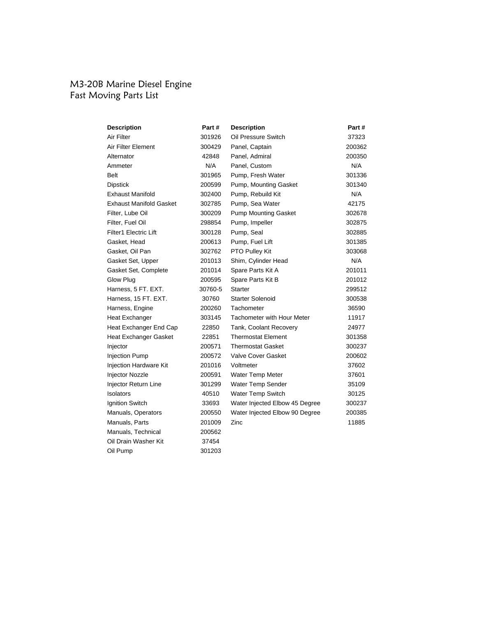### M3-20B Marine Diesel Engine Fast Moving Parts List

| Description                    | Part #  | <b>Description</b>                | Part # |
|--------------------------------|---------|-----------------------------------|--------|
| Air Filter                     | 301926  | Oil Pressure Switch               | 37323  |
| Air Filter Element             | 300429  | Panel, Captain                    | 200362 |
| Alternator                     | 42848   | Panel, Admiral                    | 200350 |
| Ammeter                        | N/A     | Panel, Custom                     | N/A    |
| Belt                           | 301965  | Pump, Fresh Water                 | 301336 |
| <b>Dipstick</b>                | 200599  | Pump, Mounting Gasket             | 301340 |
| <b>Exhaust Manifold</b>        | 302400  | Pump, Rebuild Kit                 | N/A    |
| <b>Exhaust Manifold Gasket</b> | 302785  | Pump, Sea Water                   | 42175  |
| Filter, Lube Oil               | 300209  | <b>Pump Mounting Gasket</b>       | 302678 |
| Filter, Fuel Oil               | 298854  | Pump, Impeller                    | 302875 |
| Filter1 Electric Lift          | 300128  | Pump, Seal                        | 302885 |
| Gasket, Head                   | 200613  | Pump, Fuel Lift                   | 301385 |
| Gasket, Oil Pan                | 302762  | PTO Pulley Kit                    | 303068 |
| Gasket Set, Upper              | 201013  | Shim, Cylinder Head               | N/A    |
| Gasket Set, Complete           | 201014  | Spare Parts Kit A                 | 201011 |
| Glow Plug                      | 200595  | Spare Parts Kit B                 | 201012 |
| Harness, 5 FT. EXT.            | 30760-5 | <b>Starter</b>                    | 299512 |
| Harness, 15 FT. EXT.           | 30760   | <b>Starter Solenoid</b>           | 300538 |
| Harness, Engine                | 200260  | Tachometer                        | 36590  |
| Heat Exchanger                 | 303145  | <b>Tachometer with Hour Meter</b> | 11917  |
| Heat Exchanger End Cap         | 22850   | Tank, Coolant Recovery            | 24977  |
| Heat Exchanger Gasket          | 22851   | <b>Thermostat Element</b>         | 301358 |
| Injector                       | 200571  | <b>Thermostat Gasket</b>          | 300237 |
| <b>Injection Pump</b>          | 200572  | <b>Valve Cover Gasket</b>         | 200602 |
| <b>Injection Hardware Kit</b>  | 201016  | Voltmeter                         | 37602  |
| <b>Injector Nozzle</b>         | 200591  | Water Temp Meter                  | 37601  |
| Injector Return Line           | 301299  | Water Temp Sender                 | 35109  |
| Isolators                      | 40510   | Water Temp Switch                 | 30125  |
| <b>Ignition Switch</b>         | 33693   | Water Injected Elbow 45 Degree    | 300237 |
| Manuals, Operators             | 200550  | Water Injected Elbow 90 Degree    | 200385 |
| Manuals, Parts                 | 201009  | Zinc                              | 11885  |
| Manuals, Technical             | 200562  |                                   |        |
| Oil Drain Washer Kit           | 37454   |                                   |        |
| Oil Pump                       | 301203  |                                   |        |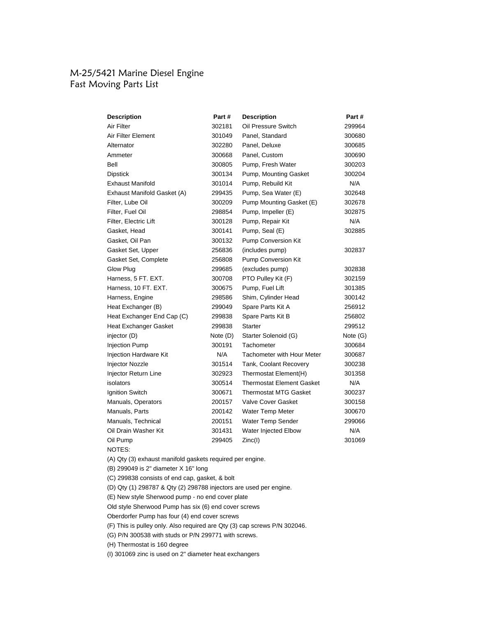### M-25/5421 Marine Diesel Engine Fast Moving Parts List

| <b>Description</b>            | Part #     | <b>Description</b>                | Part#      |
|-------------------------------|------------|-----------------------------------|------------|
| Air Filter                    | 302181     | Oil Pressure Switch               | 299964     |
| Air Filter Element            | 301049     | Panel, Standard                   | 300680     |
| Alternator                    | 302280     | Panel, Deluxe                     | 300685     |
| Ammeter                       | 300668     | Panel, Custom                     | 300690     |
| Bell                          | 300805     | Pump, Fresh Water                 | 300203     |
| Dipstick                      | 300134     | Pump, Mounting Gasket             | 300204     |
| <b>Exhaust Manifold</b>       | 301014     | Pump, Rebuild Kit                 | N/A        |
| Exhaust Manifold Gasket (A)   | 299435     | Pump, Sea Water (E)               | 302648     |
| Filter, Lube Oil              | 300209     | Pump Mounting Gasket (E)          | 302678     |
| Filter, Fuel Oil              | 298854     | Pump, Impeller (E)                | 302875     |
| Filter, Electric Lift         | 300128     | Pump, Repair Kit                  | N/A        |
| Gasket, Head                  | 300141     | Pump, Seal (E)                    | 302885     |
| Gasket, Oil Pan               | 300132     | Pump Conversion Kit               |            |
| Gasket Set, Upper             | 256836     | (includes pump)                   | 302837     |
| Gasket Set, Complete          | 256808     | Pump Conversion Kit               |            |
| Glow Plug                     | 299685     | (excludes pump)                   | 302838     |
| Harness, 5 FT. EXT.           | 300708     | PTO Pulley Kit (F)                | 302159     |
| Harness, 10 FT. EXT.          | 300675     | Pump, Fuel Lift                   | 301385     |
| Harness, Engine               | 298586     | Shim, Cylinder Head               | 300142     |
| Heat Exchanger (B)            | 299049     | Spare Parts Kit A                 | 256912     |
| Heat Exchanger End Cap (C)    | 299838     | Spare Parts Kit B                 | 256802     |
| Heat Exchanger Gasket         | 299838     | <b>Starter</b>                    | 299512     |
| injector (D)                  | Note $(D)$ | Starter Solenoid (G)              | Note $(G)$ |
| <b>Injection Pump</b>         | 300191     | Tachometer                        | 300684     |
| <b>Injection Hardware Kit</b> | N/A        | <b>Tachometer with Hour Meter</b> | 300687     |
| Injector Nozzle               | 301514     | Tank, Coolant Recovery            | 300238     |
| Injector Return Line          | 302923     | Thermostat Element(H)             | 301358     |
| isolators                     | 300514     | <b>Thermostat Element Gasket</b>  | N/A        |
| <b>Ignition Switch</b>        | 300671     | <b>Thermostat MTG Gasket</b>      | 300237     |
| Manuals, Operators            | 200157     | <b>Valve Cover Gasket</b>         | 300158     |
| Manuals, Parts                | 200142     | Water Temp Meter                  | 300670     |
| Manuals, Technical            | 200151     | Water Temp Sender                 | 299066     |
| Oil Drain Washer Kit          | 301431     | Water Injected Elbow              | N/A        |
| Oil Pump                      | 299405     | Zinc(I)                           | 301069     |
| NOTES:                        |            |                                   |            |

(A) Qty (3) exhaust manifold gaskets required per engine.

(B) 299049 is 2" diameter X 16" long

(C) 299838 consists of end cap, gasket, & bolt

(D) Qty (1) 298787 & Qty (2) 298788 injectors are used per engine.

(E) New style Sherwood pump - no end cover plate

Old style Sherwood Pump has six (6) end cover screws

Oberdorfer Pump has four (4) end cover screws

(F) This is pulley only. Also required are Qty (3) cap screws P/N 302046.

(G) P/N 300538 with studs or P/N 299771 with screws.

(H) Thermostat is 160 degree

(I) 301069 zinc is used on 2" diameter heat exchangers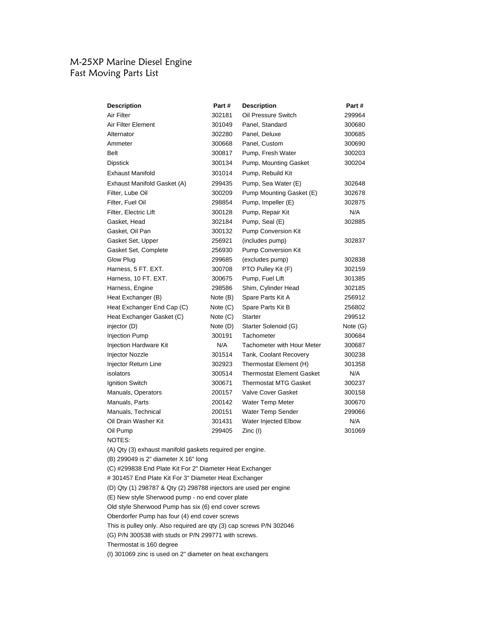# M-25XP Marine Diesel Engine Fast Moving Parts List

| <b>Description</b>                                        | Part#      | <b>Description</b>                | Part #   |
|-----------------------------------------------------------|------------|-----------------------------------|----------|
| Air Filter                                                | 302181     | Oil Pressure Switch               | 299964   |
| Air Filter Element                                        | 301049     | Panel, Standard                   | 300680   |
| Alternator                                                | 302280     | Panel, Deluxe                     | 300685   |
| Ammeter                                                   | 300668     | Panel, Custom                     | 300690   |
| <b>Belt</b>                                               | 300817     | Pump, Fresh Water                 | 300203   |
| <b>Dipstick</b>                                           | 300134     | Pump, Mounting Gasket             | 300204   |
| <b>Exhaust Manifold</b>                                   | 301014     | Pump, Rebuild Kit                 |          |
| Exhaust Manifold Gasket (A)                               | 299435     | Pump, Sea Water (E)               | 302648   |
| Filter, Lube Oil                                          | 300209     | Pump Mounting Gasket (E)          | 302678   |
| Filter, Fuel Oil                                          | 298854     | Pump, Impeller (E)                | 302875   |
| Filter, Electric Lift                                     | 300128     | Pump, Repair Kit                  | N/A      |
| Gasket, Head                                              | 302184     | Pump, Seal (E)                    | 302885   |
| Gasket, Oil Pan                                           | 300132     | Pump Conversion Kit               |          |
| Gasket Set, Upper                                         | 256921     | (includes pump)                   | 302837   |
| Gasket Set, Complete                                      | 256930     | <b>Pump Conversion Kit</b>        |          |
| Glow Plug                                                 | 299685     | (excludes pump)                   | 302838   |
| Harness, 5 FT. EXT.                                       | 300708     | PTO Pulley Kit (F)                | 302159   |
| Harness, 10 FT. EXT.                                      | 300675     | Pump, Fuel Lift                   | 301385   |
| Harness, Engine                                           | 298586     | Shim, Cylinder Head               | 302185   |
| Heat Exchanger (B)                                        | Note (B)   | Spare Parts Kit A                 | 256912   |
| Heat Exchanger End Cap (C)                                | Note $(C)$ | Spare Parts Kit B                 | 256802   |
| Heat Exchanger Gasket (C)                                 | Note $(C)$ | <b>Starter</b>                    | 299512   |
| injector (D)                                              | Note (D)   | Starter Solenoid (G)              | Note (G) |
| Injection Pump                                            | 300191     | Tachometer                        | 300684   |
| <b>Injection Hardware Kit</b>                             | N/A        | <b>Tachometer with Hour Meter</b> | 300687   |
| Injector Nozzle                                           | 301514     | Tank, Coolant Recovery            | 300238   |
| Injector Return Line                                      | 302923     | Thermostat Element (H)            | 301358   |
| isolators                                                 | 300514     | <b>Thermostat Element Gasket</b>  | N/A      |
| Ignition Switch                                           | 300671     | <b>Thermostat MTG Gasket</b>      | 300237   |
| Manuals, Operators                                        | 200157     | <b>Valve Cover Gasket</b>         | 300158   |
| Manuals, Parts                                            | 200142     | Water Temp Meter                  | 300670   |
| Manuals, Technical                                        | 200151     | Water Temp Sender                 | 299066   |
| Oil Drain Washer Kit                                      | 301431     | Water Injected Elbow              | N/A      |
| Oil Pump                                                  | 299405     | Zinc (I)                          | 301069   |
| NOTES:                                                    |            |                                   |          |
| (A) Qty (3) exhaust manifold gaskets required per engine. |            |                                   |          |

(B) 299049 is 2" diameter X 16" long

(C) #299838 End Plate Kit For 2" Diameter Heat Exchanger

# 301457 End Plate Kit For 3" Diameter Heat Exchanger

(D) Qty (1) 298787 & Qty (2) 298788 injectors are used per engine

(E) New style Sherwood pump - no end cover plate

Old style Sherwood Pump has six (6) end cover screws

Oberdorfer Pump has four (4) end cover screws

This is pulley only. Also required are qty (3) cap screws P/N 302046

(G) P/N 300538 with studs or P/N 299771 with screws.

Thermostat is 160 degree

(I) 301069 zinc is used on 2" diameter on heat exchangers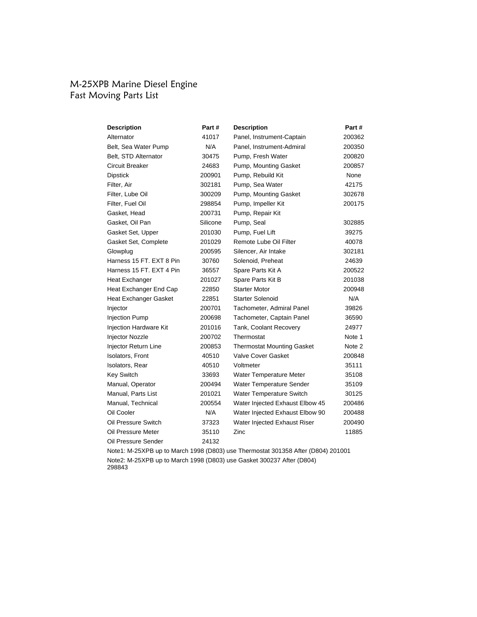# M-25XPB Marine Diesel Engine Fast Moving Parts List

| <b>Description</b>           | Part#    | <b>Description</b>                | Part # |
|------------------------------|----------|-----------------------------------|--------|
| Alternator                   | 41017    | Panel, Instrument-Captain         | 200362 |
| Belt, Sea Water Pump         | N/A      | Panel, Instrument-Admiral         | 200350 |
| Belt, STD Alternator         | 30475    | Pump, Fresh Water                 | 200820 |
| <b>Circuit Breaker</b>       | 24683    | Pump, Mounting Gasket             | 200857 |
| <b>Dipstick</b>              | 200901   | Pump, Rebuild Kit                 | None   |
| Filter, Air                  | 302181   | Pump, Sea Water                   | 42175  |
| Filter, Lube Oil             | 300209   | Pump, Mounting Gasket             | 302678 |
| Filter, Fuel Oil             | 298854   | Pump, Impeller Kit                | 200175 |
| Gasket, Head                 | 200731   | Pump, Repair Kit                  |        |
| Gasket, Oil Pan              | Silicone | Pump, Seal                        | 302885 |
| Gasket Set, Upper            | 201030   | Pump, Fuel Lift                   | 39275  |
| Gasket Set, Complete         | 201029   | Remote Lube Oil Filter            | 40078  |
| Glowplug                     | 200595   | Silencer, Air Intake              | 302181 |
| Harness 15 FT, EXT 8 Pin     | 30760    | Solenoid, Preheat                 | 24639  |
| Harness 15 FT, EXT 4 Pin     | 36557    | Spare Parts Kit A                 | 200522 |
| Heat Exchanger               | 201027   | Spare Parts Kit B                 | 201038 |
| Heat Exchanger End Cap       | 22850    | <b>Starter Motor</b>              | 200948 |
| <b>Heat Exchanger Gasket</b> | 22851    | <b>Starter Solenoid</b>           | N/A    |
| Injector                     | 200701   | Tachometer, Admiral Panel         | 39826  |
| <b>Injection Pump</b>        | 200698   | Tachometer, Captain Panel         | 36590  |
| Injection Hardware Kit       | 201016   | Tank, Coolant Recovery            | 24977  |
| Injector Nozzle              | 200702   | Thermostat                        | Note 1 |
| Injector Return Line         | 200853   | <b>Thermostat Mounting Gasket</b> | Note 2 |
| Isolators, Front             | 40510    | <b>Valve Cover Gasket</b>         | 200848 |
| Isolators, Rear              | 40510    | Voltmeter                         | 35111  |
| <b>Key Switch</b>            | 33693    | Water Temperature Meter           | 35108  |
| Manual, Operator             | 200494   | Water Temperature Sender          | 35109  |
| Manual, Parts List           | 201021   | Water Temperature Switch          | 30125  |
| Manual, Technical            | 200554   | Water Injected Exhaust Elbow 45   | 200486 |
| Oil Cooler                   | N/A      | Water Injected Exhaust Elbow 90   | 200488 |
| Oil Pressure Switch          | 37323    | Water Injected Exhaust Riser      | 200490 |
| Oil Pressure Meter           | 35110    | Zinc                              | 11885  |
| Oil Pressure Sender          | 24132    |                                   |        |

Note1: M-25XPB up to March 1998 (D803) use Thermostat 301358 After (D804) 201001 Note2: M-25XPB up to March 1998 (D803) use Gasket 300237 After (D804) 298843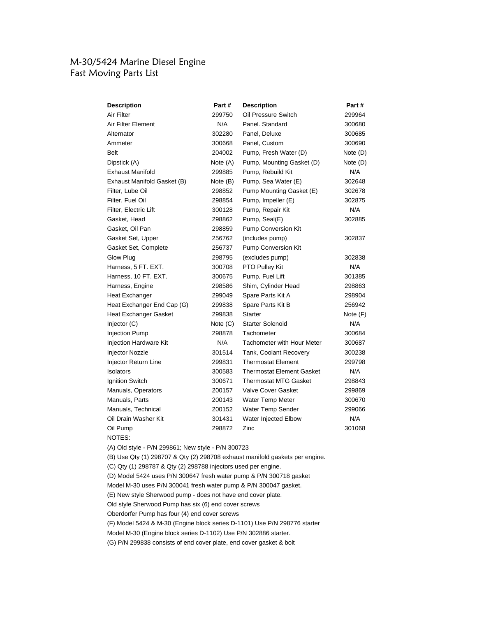# M-30/5424 Marine Diesel Engine Fast Moving Parts List

| <b>Description</b>           | Part #     | <b>Description</b>                | Part#    |
|------------------------------|------------|-----------------------------------|----------|
| Air Filter                   | 299750     | Oil Pressure Switch               | 299964   |
| Air Filter Element           | N/A        | Panel, Standard                   | 300680   |
| Alternator                   | 302280     | Panel, Deluxe                     | 300685   |
| Ammeter                      | 300668     | Panel, Custom                     | 300690   |
| <b>Belt</b>                  | 204002     | Pump, Fresh Water (D)             | Note (D) |
| Dipstick (A)                 | Note (A)   | Pump, Mounting Gasket (D)         | Note (D) |
| <b>Exhaust Manifold</b>      | 299885     | Pump, Rebuild Kit                 | N/A      |
| Exhaust Manifold Gasket (B)  | Note (B)   | Pump, Sea Water (E)               | 302648   |
| Filter, Lube Oil             | 298852     | Pump Mounting Gasket (E)          | 302678   |
| Filter, Fuel Oil             | 298854     | Pump, Impeller (E)                | 302875   |
| Filter, Electric Lift        | 300128     | Pump, Repair Kit                  | N/A      |
| Gasket, Head                 | 298862     | Pump, Seal(E)                     | 302885   |
| Gasket, Oil Pan              | 298859     | Pump Conversion Kit               |          |
| Gasket Set, Upper            | 256762     | (includes pump)                   | 302837   |
| Gasket Set, Complete         | 256737     | Pump Conversion Kit               |          |
| Glow Plug                    | 298795     | (excludes pump)                   | 302838   |
| Harness, 5 FT. EXT.          | 300708     | PTO Pulley Kit                    | N/A      |
| Harness, 10 FT. EXT.         | 300675     | Pump, Fuel Lift                   | 301385   |
| Harness, Engine              | 298586     | Shim, Cylinder Head               | 298863   |
| <b>Heat Exchanger</b>        | 299049     | Spare Parts Kit A                 | 298904   |
| Heat Exchanger End Cap (G)   | 299838     | Spare Parts Kit B                 | 256942   |
| <b>Heat Exchanger Gasket</b> | 299838     | Starter                           | Note (F) |
| Injector $(C)$               | Note $(C)$ | <b>Starter Solenoid</b>           | N/A      |
| <b>Injection Pump</b>        | 298878     | Tachometer                        | 300684   |
| Injection Hardware Kit       | N/A        | <b>Tachometer with Hour Meter</b> | 300687   |
| <b>Injector Nozzle</b>       | 301514     | Tank, Coolant Recovery            | 300238   |
| Injector Return Line         | 299831     | <b>Thermostat Element</b>         | 299798   |
| Isolators                    | 300583     | <b>Thermostat Element Gasket</b>  | N/A      |
| Ignition Switch              | 300671     | <b>Thermostat MTG Gasket</b>      | 298843   |
| Manuals, Operators           | 200157     | <b>Valve Cover Gasket</b>         | 299869   |
| Manuals, Parts               | 200143     | Water Temp Meter                  | 300670   |
| Manuals, Technical           | 200152     | Water Temp Sender                 | 299066   |
| Oil Drain Washer Kit         | 301431     | Water Injected Elbow              | N/A      |
| Oil Pump                     | 298872     | Zinc                              | 301068   |
| NOTES:                       |            |                                   |          |

(A) Old style - P/N 299861; New style - P/N 300723

(B) Use Qty (1) 298707 & Qty (2) 298708 exhaust manifold gaskets per engine.

(C) Qty (1) 298787 & Qty (2) 298788 injectors used per engine.

(D) Model 5424 uses P/N 300647 fresh water pump & P/N 300718 gasket

Model M-30 uses P/N 300041 fresh water pump & P/N 300047 gasket.

(E) New style Sherwood pump - does not have end cover plate.

Old style Sherwood Pump has six (6) end cover screws

Oberdorfer Pump has four (4) end cover screws

(F) Model 5424 & M-30 (Engine block series D-1101) Use P/N 298776 starter

Model M-30 (Engine block series D-1102) Use P/N 302886 starter.

(G) P/N 299838 consists of end cover plate, end cover gasket & bolt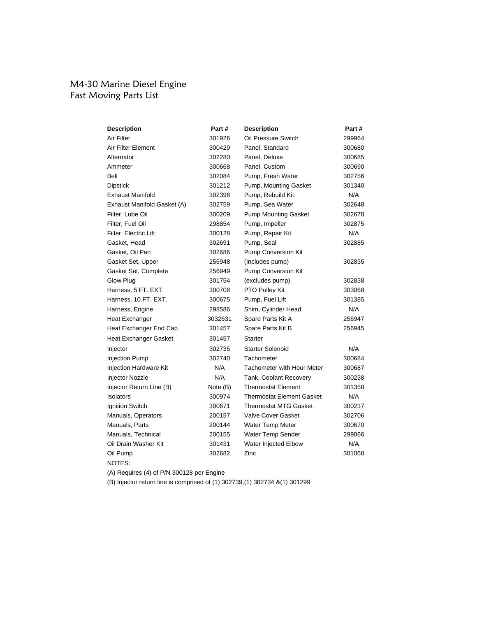### M4-30 Marine Diesel Engine Fast Moving Parts List

| <b>Description</b>          | Part #   | <b>Description</b>                | Part#  |
|-----------------------------|----------|-----------------------------------|--------|
| Air Filter                  | 301926   | Oil Pressure Switch               | 299964 |
| Air Filter Element          | 300429   | Panel, Standard                   | 300680 |
| Alternator                  | 302280   | Panel, Deluxe                     | 300685 |
| Ammeter                     | 300668   | Panel, Custom                     | 300690 |
| <b>Belt</b>                 | 302084   | Pump, Fresh Water                 | 302756 |
| <b>Dipstick</b>             | 301212   | Pump, Mounting Gasket             | 301340 |
| <b>Exhaust Manifold</b>     | 302398   | Pump, Rebuild Kit                 | N/A    |
| Exhaust Manifold Gasket (A) | 302759   | Pump, Sea Water                   | 302648 |
| Filter, Lube Oil            | 300209   | <b>Pump Mounting Gasket</b>       | 302678 |
| Filter, Fuel Oil            | 298854   | Pump, Impeller                    | 302875 |
| Filter, Electric Lift       | 300128   | Pump, Repair Kit                  | N/A    |
| Gasket, Head                | 302691   | Pump, Seal                        | 302885 |
| Gasket, Oil Pan             | 302686   | <b>Pump Conversion Kit</b>        |        |
| Gasket Set, Upper           | 256948   | (Includes pump)                   | 302835 |
| Gasket Set, Complete        | 256949   | Pump Conversion Kit               |        |
| Glow Plug                   | 301754   | (excludes pump)                   | 302838 |
| Harness, 5 FT. EXT.         | 300708   | PTO Pulley Kit                    | 303068 |
| Harness, 10 FT. EXT.        | 300675   | Pump, Fuel Lift                   | 301385 |
| Harness, Engine             | 298586   | Shim, Cylinder Head               | N/A    |
| Heat Exchanger              | 3032631  | Spare Parts Kit A                 | 256947 |
| Heat Exchanger End Cap      | 301457   | Spare Parts Kit B                 | 256945 |
| Heat Exchanger Gasket       | 301457   | <b>Starter</b>                    |        |
| Injector                    | 302735   | <b>Starter Solenoid</b>           | N/A    |
| <b>Injection Pump</b>       | 302740   | Tachometer                        | 300684 |
| Injection Hardware Kit      | N/A      | <b>Tachometer with Hour Meter</b> | 300687 |
| Injector Nozzle             | N/A      | Tank, Coolant Recovery            | 300238 |
| Injector Return Line (B)    | Note (B) | <b>Thermostat Element</b>         | 301358 |
| <b>Isolators</b>            | 300974   | <b>Thermostat Element Gasket</b>  | N/A    |
| Ignition Switch             | 300671   | <b>Thermostat MTG Gasket</b>      | 300237 |
| Manuals, Operators          | 200157   | <b>Valve Cover Gasket</b>         | 302706 |
| Manuals, Parts              | 200144   | Water Temp Meter                  | 300670 |
| Manuals, Technical          | 200155   | Water Temp Sender                 | 299066 |
| Oil Drain Washer Kit        | 301431   | Water Injected Elbow              | N/A    |
| Oil Pump                    | 302682   | Zinc                              | 301068 |
| NOTES:                      |          |                                   |        |

(A) Requires (4) of P/N 300128 per Engine

(B) Injector return line is comprised of (1) 302739,(1) 302734 &(1) 301299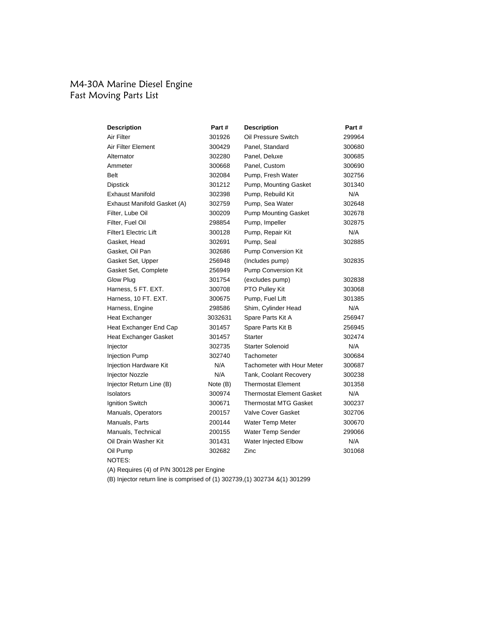### M4-30A Marine Diesel Engine Fast Moving Parts List

| <b>Description</b>           | Part #   | <b>Description</b>                | Part # |
|------------------------------|----------|-----------------------------------|--------|
| Air Filter                   | 301926   | Oil Pressure Switch               | 299964 |
| Air Filter Element           | 300429   | Panel. Standard                   | 300680 |
| Alternator                   | 302280   | Panel, Deluxe                     | 300685 |
| Ammeter                      | 300668   | Panel, Custom                     | 300690 |
| Belt                         | 302084   | Pump, Fresh Water                 | 302756 |
| <b>Dipstick</b>              | 301212   | Pump, Mounting Gasket             | 301340 |
| <b>Exhaust Manifold</b>      | 302398   | Pump, Rebuild Kit                 | N/A    |
| Exhaust Manifold Gasket (A)  | 302759   | Pump, Sea Water                   | 302648 |
| Filter, Lube Oil             | 300209   | <b>Pump Mounting Gasket</b>       | 302678 |
| Filter, Fuel Oil             | 298854   | Pump, Impeller                    | 302875 |
| <b>Filter1 Electric Lift</b> | 300128   | Pump, Repair Kit                  | N/A    |
| Gasket, Head                 | 302691   | Pump, Seal                        | 302885 |
| Gasket, Oil Pan              | 302686   | Pump Conversion Kit               |        |
| Gasket Set, Upper            | 256948   | (Includes pump)                   | 302835 |
| Gasket Set, Complete         | 256949   | Pump Conversion Kit               |        |
| Glow Plug                    | 301754   | (excludes pump)                   | 302838 |
| Harness, 5 FT. EXT.          | 300708   | PTO Pulley Kit                    | 303068 |
| Harness, 10 FT. EXT.         | 300675   | Pump, Fuel Lift                   | 301385 |
| Harness, Engine              | 298586   | Shim, Cylinder Head               | N/A    |
| <b>Heat Exchanger</b>        | 3032631  | Spare Parts Kit A                 | 256947 |
| Heat Exchanger End Cap       | 301457   | Spare Parts Kit B                 | 256945 |
| Heat Exchanger Gasket        | 301457   | Starter                           | 302474 |
| Injector                     | 302735   | <b>Starter Solenoid</b>           | N/A    |
| Injection Pump               | 302740   | Tachometer                        | 300684 |
| Injection Hardware Kit       | N/A      | <b>Tachometer with Hour Meter</b> | 300687 |
| Injector Nozzle              | N/A      | Tank, Coolant Recovery            | 300238 |
| Injector Return Line (B)     | Note (B) | <b>Thermostat Element</b>         | 301358 |
| Isolators                    | 300974   | <b>Thermostat Element Gasket</b>  | N/A    |
| Ignition Switch              | 300671   | <b>Thermostat MTG Gasket</b>      | 300237 |
| Manuals, Operators           | 200157   | <b>Valve Cover Gasket</b>         | 302706 |
| Manuals, Parts               | 200144   | Water Temp Meter                  | 300670 |
| Manuals, Technical           | 200155   | Water Temp Sender                 | 299066 |
| Oil Drain Washer Kit         | 301431   | Water Injected Elbow              | N/A    |
| Oil Pump                     | 302682   | Zinc                              | 301068 |
| NOTES:                       |          |                                   |        |

(A) Requires (4) of P/N 300128 per Engine

(B) Injector return line is comprised of (1) 302739,(1) 302734 &(1) 301299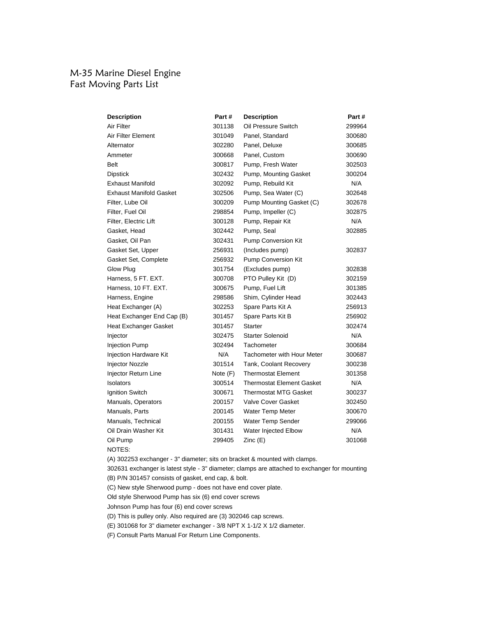### M-35 Marine Diesel Engine Fast Moving Parts List

| <b>Description</b>             | Part #   | <b>Description</b>                | Part#  |
|--------------------------------|----------|-----------------------------------|--------|
| Air Filter                     | 301138   | Oil Pressure Switch               | 299964 |
| Air Filter Element             | 301049   | Panel, Standard                   | 300680 |
| Alternator                     | 302280   | Panel, Deluxe                     | 300685 |
| Ammeter                        | 300668   | Panel, Custom                     | 300690 |
| <b>Belt</b>                    | 300817   | Pump, Fresh Water                 | 302503 |
| <b>Dipstick</b>                | 302432   | Pump, Mounting Gasket             | 300204 |
| <b>Exhaust Manifold</b>        | 302092   | Pump, Rebuild Kit                 | N/A    |
| <b>Exhaust Manifold Gasket</b> | 302506   | Pump, Sea Water (C)               | 302648 |
| Filter, Lube Oil               | 300209   | Pump Mounting Gasket (C)          | 302678 |
| Filter, Fuel Oil               | 298854   | Pump, Impeller (C)                | 302875 |
| Filter, Electric Lift          | 300128   | Pump, Repair Kit                  | N/A    |
| Gasket, Head                   | 302442   | Pump, Seal                        | 302885 |
| Gasket, Oil Pan                | 302431   | Pump Conversion Kit               |        |
| Gasket Set, Upper              | 256931   | (Includes pump)                   | 302837 |
| Gasket Set, Complete           | 256932   | Pump Conversion Kit               |        |
| Glow Plug                      | 301754   | (Excludes pump)                   | 302838 |
| Harness, 5 FT. EXT.            | 300708   | PTO Pulley Kit (D)                | 302159 |
| Harness, 10 FT. EXT.           | 300675   | Pump, Fuel Lift                   | 301385 |
| Harness, Engine                | 298586   | Shim, Cylinder Head               | 302443 |
| Heat Exchanger (A)             | 302253   | Spare Parts Kit A                 | 256913 |
| Heat Exchanger End Cap (B)     | 301457   | Spare Parts Kit B                 | 256902 |
| <b>Heat Exchanger Gasket</b>   | 301457   | <b>Starter</b>                    | 302474 |
| Injector                       | 302475   | <b>Starter Solenoid</b>           | N/A    |
| <b>Injection Pump</b>          | 302494   | Tachometer                        | 300684 |
| Injection Hardware Kit         | N/A      | <b>Tachometer with Hour Meter</b> | 300687 |
| <b>Injector Nozzle</b>         | 301514   | Tank, Coolant Recovery            | 300238 |
| Injector Return Line           | Note (F) | <b>Thermostat Element</b>         | 301358 |
| <b>Isolators</b>               | 300514   | <b>Thermostat Element Gasket</b>  | N/A    |
| Ignition Switch                | 300671   | <b>Thermostat MTG Gasket</b>      | 300237 |
| Manuals, Operators             | 200157   | Valve Cover Gasket                | 302450 |
| Manuals, Parts                 | 200145   | Water Temp Meter                  | 300670 |
| Manuals, Technical             | 200155   | Water Temp Sender                 | 299066 |
| Oil Drain Washer Kit           | 301431   | Water Injected Elbow              | N/A    |
| Oil Pump                       | 299405   | Zinc(E)                           | 301068 |
| NOTES:                         |          |                                   |        |

(A) 302253 exchanger - 3" diameter; sits on bracket & mounted with clamps.

302631 exchanger is latest style - 3" diameter; clamps are attached to exchanger for mounting (B) P/N 301457 consists of gasket, end cap, & bolt.

(C) New style Sherwood pump - does not have end cover plate.

Old style Sherwood Pump has six (6) end cover screws

Johnson Pump has four (6) end cover screws

(D) This is pulley only. Also required are (3) 302046 cap screws.

(E) 301068 for 3" diameter exchanger - 3/8 NPT X 1-1/2 X 1/2 diameter.

(F) Consult Parts Manual For Return Line Components.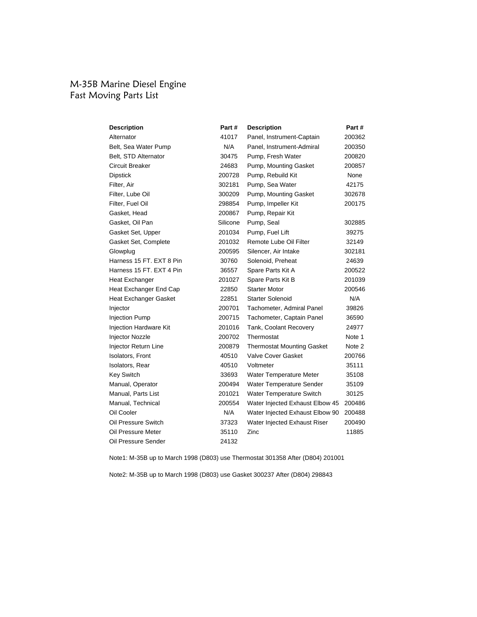### M-35B Marine Diesel Engine Fast Moving Parts List

| <b>Description</b>            | Part#    | <b>Description</b>                | Part # |
|-------------------------------|----------|-----------------------------------|--------|
| Alternator                    | 41017    | Panel, Instrument-Captain         | 200362 |
| Belt, Sea Water Pump          | N/A      | Panel, Instrument-Admiral         | 200350 |
| Belt, STD Alternator          | 30475    | Pump, Fresh Water                 | 200820 |
| Circuit Breaker               | 24683    | Pump, Mounting Gasket             | 200857 |
| <b>Dipstick</b>               | 200728   | Pump, Rebuild Kit                 | None   |
| Filter, Air                   | 302181   | Pump, Sea Water                   | 42175  |
| Filter, Lube Oil              | 300209   | Pump, Mounting Gasket             | 302678 |
| Filter, Fuel Oil              | 298854   | Pump, Impeller Kit                | 200175 |
| Gasket, Head                  | 200867   | Pump, Repair Kit                  |        |
| Gasket, Oil Pan               | Silicone | Pump, Seal                        | 302885 |
| Gasket Set, Upper             | 201034   | Pump, Fuel Lift                   | 39275  |
| Gasket Set, Complete          | 201032   | Remote Lube Oil Filter            | 32149  |
| Glowplug                      | 200595   | Silencer, Air Intake              | 302181 |
| Harness 15 FT. EXT 8 Pin      | 30760    | Solenoid, Preheat                 | 24639  |
| Harness 15 FT, EXT 4 Pin      | 36557    | Spare Parts Kit A                 | 200522 |
| <b>Heat Exchanger</b>         | 201027   | Spare Parts Kit B                 | 201039 |
| Heat Exchanger End Cap        | 22850    | <b>Starter Motor</b>              | 200546 |
| <b>Heat Exchanger Gasket</b>  | 22851    | <b>Starter Solenoid</b>           | N/A    |
| Injector                      | 200701   | Tachometer, Admiral Panel         | 39826  |
| <b>Injection Pump</b>         | 200715   | Tachometer, Captain Panel         | 36590  |
| <b>Injection Hardware Kit</b> | 201016   | Tank, Coolant Recovery            | 24977  |
| Injector Nozzle               | 200702   | Thermostat                        | Note 1 |
| Injector Return Line          | 200879   | <b>Thermostat Mounting Gasket</b> | Note 2 |
| Isolators, Front              | 40510    | Valve Cover Gasket                | 200766 |
| Isolators, Rear               | 40510    | Voltmeter                         | 35111  |
| <b>Key Switch</b>             | 33693    | Water Temperature Meter           | 35108  |
| Manual, Operator              | 200494   | Water Temperature Sender          | 35109  |
| Manual, Parts List            | 201021   | Water Temperature Switch          | 30125  |
| Manual, Technical             | 200554   | Water Injected Exhaust Elbow 45   | 200486 |
| Oil Cooler                    | N/A      | Water Injected Exhaust Elbow 90   | 200488 |
| Oil Pressure Switch           | 37323    | Water Injected Exhaust Riser      | 200490 |
| Oil Pressure Meter            | 35110    | Zinc                              | 11885  |
| Oil Pressure Sender           | 24132    |                                   |        |

Note1: M-35B up to March 1998 (D803) use Thermostat 301358 After (D804) 201001

Note2: M-35B up to March 1998 (D803) use Gasket 300237 After (D804) 298843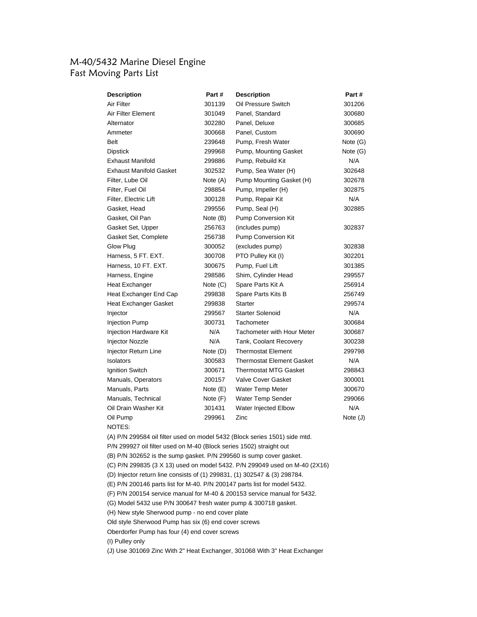# M-40/5432 Marine Diesel Engine Fast Moving Parts List

| <b>Description</b>             | Part #     | <b>Description</b>                | Part#      |
|--------------------------------|------------|-----------------------------------|------------|
| Air Filter                     | 301139     | Oil Pressure Switch               | 301206     |
| Air Filter Element             | 301049     | Panel, Standard                   | 300680     |
| Alternator                     | 302280     | Panel, Deluxe                     | 300685     |
| Ammeter                        | 300668     | Panel, Custom                     | 300690     |
| <b>Belt</b>                    | 239648     | Pump, Fresh Water                 | Note $(G)$ |
| <b>Dipstick</b>                | 299968     | Pump, Mounting Gasket             | Note $(G)$ |
| <b>Exhaust Manifold</b>        | 299886     | Pump, Rebuild Kit                 | N/A        |
| <b>Exhaust Manifold Gasket</b> | 302532     | Pump, Sea Water (H)               | 302648     |
| Filter, Lube Oil               | Note (A)   | Pump Mounting Gasket (H)          | 302678     |
| Filter, Fuel Oil               | 298854     | Pump, Impeller (H)                | 302875     |
| Filter, Electric Lift          | 300128     | Pump, Repair Kit                  | N/A        |
| Gasket, Head                   | 299556     | Pump, Seal (H)                    | 302885     |
| Gasket, Oil Pan                | Note (B)   | Pump Conversion Kit               |            |
| Gasket Set, Upper              | 256763     | (includes pump)                   | 302837     |
| Gasket Set, Complete           | 256738     | Pump Conversion Kit               |            |
| Glow Plug                      | 300052     | (excludes pump)                   | 302838     |
| Harness, 5 FT. EXT.            | 300708     | PTO Pulley Kit (I)                | 302201     |
| Harness, 10 FT. EXT.           | 300675     | Pump, Fuel Lift                   | 301385     |
| Harness, Engine                | 298586     | Shim, Cylinder Head               | 299557     |
| <b>Heat Exchanger</b>          | Note $(C)$ | Spare Parts Kit A                 | 256914     |
| Heat Exchanger End Cap         | 299838     | Spare Parts Kits B                | 256749     |
| Heat Exchanger Gasket          | 299838     | <b>Starter</b>                    | 299574     |
| Injector                       | 299567     | <b>Starter Solenoid</b>           | N/A        |
| <b>Injection Pump</b>          | 300731     | Tachometer                        | 300684     |
| Injection Hardware Kit         | N/A        | <b>Tachometer with Hour Meter</b> | 300687     |
| Injector Nozzle                | N/A        | Tank, Coolant Recovery            | 300238     |
| Injector Return Line           | Note (D)   | <b>Thermostat Element</b>         | 299798     |
| Isolators                      | 300583     | <b>Thermostat Element Gasket</b>  | N/A        |
| Ignition Switch                | 300671     | <b>Thermostat MTG Gasket</b>      | 298843     |
| Manuals, Operators             | 200157     | <b>Valve Cover Gasket</b>         | 300001     |
| Manuals, Parts                 | Note $(E)$ | <b>Water Temp Meter</b>           | 300670     |
| Manuals, Technical             | Note (F)   | Water Temp Sender                 | 299066     |
| Oil Drain Washer Kit           | 301431     | Water Injected Elbow              | N/A        |
| Oil Pump                       | 299961     | Zinc                              | Note $(J)$ |
| NOTES:                         |            |                                   |            |

(A) P/N 299584 oil filter used on model 5432 (Block series 1501) side mtd.

P/N 299927 oil filter used on M-40 (Block series 1502) straight out

(B) P/N 302652 is the sump gasket. P/N 299560 is sump cover gasket.

(C) P/N 299835 (3 X 13) used on model 5432. P/N 299049 used on M-40 (2X16)

(D) Injector return line consists of (1) 299831, (1) 302547 & (3) 298784.

(E) P/N 200146 parts list for M-40. P/N 200147 parts list for model 5432.

(F) P/N 200154 service manual for M-40 & 200153 service manual for 5432.

(G) Model 5432 use P/N 300647 fresh water pump & 300718 gasket.

(H) New style Sherwood pump - no end cover plate

Old style Sherwood Pump has six (6) end cover screws

Oberdorfer Pump has four (4) end cover screws

(I) Pulley only

(J) Use 301069 Zinc With 2" Heat Exchanger, 301068 With 3" Heat Exchanger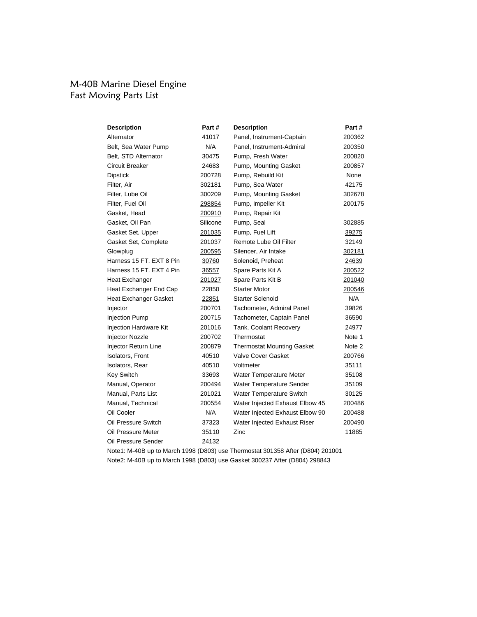### M-40B Marine Diesel Engine Fast Moving Parts List

| <b>Description</b>           | Part #   | <b>Description</b>                | Part # |
|------------------------------|----------|-----------------------------------|--------|
| Alternator                   | 41017    | Panel, Instrument-Captain         | 200362 |
| Belt, Sea Water Pump         | N/A      | Panel, Instrument-Admiral         | 200350 |
| Belt, STD Alternator         | 30475    | Pump, Fresh Water                 | 200820 |
| <b>Circuit Breaker</b>       | 24683    | Pump, Mounting Gasket             | 200857 |
| <b>Dipstick</b>              | 200728   | Pump, Rebuild Kit                 | None   |
| Filter, Air                  | 302181   | Pump, Sea Water                   | 42175  |
| Filter, Lube Oil             | 300209   | Pump, Mounting Gasket             | 302678 |
| Filter, Fuel Oil             | 298854   | Pump, Impeller Kit                | 200175 |
| Gasket, Head                 | 200910   | Pump, Repair Kit                  |        |
| Gasket, Oil Pan              | Silicone | Pump, Seal                        | 302885 |
| Gasket Set, Upper            | 201035   | Pump, Fuel Lift                   | 39275  |
| Gasket Set, Complete         | 201037   | Remote Lube Oil Filter            | 32149  |
| Glowplug                     | 200595   | Silencer, Air Intake              | 302181 |
| Harness 15 FT. EXT 8 Pin     | 30760    | Solenoid, Preheat                 | 24639  |
| Harness 15 FT, EXT 4 Pin     | 36557    | Spare Parts Kit A                 | 200522 |
| Heat Exchanger               | 201027   | Spare Parts Kit B                 | 201040 |
| Heat Exchanger End Cap       | 22850    | <b>Starter Motor</b>              | 200546 |
| <b>Heat Exchanger Gasket</b> | 22851    | <b>Starter Solenoid</b>           | N/A    |
| Injector                     | 200701   | Tachometer, Admiral Panel         | 39826  |
| <b>Injection Pump</b>        | 200715   | Tachometer, Captain Panel         | 36590  |
| Injection Hardware Kit       | 201016   | Tank, Coolant Recovery            | 24977  |
| Injector Nozzle              | 200702   | Thermostat                        | Note 1 |
| Injector Return Line         | 200879   | <b>Thermostat Mounting Gasket</b> | Note 2 |
| Isolators, Front             | 40510    | <b>Valve Cover Gasket</b>         | 200766 |
| Isolators, Rear              | 40510    | Voltmeter                         | 35111  |
| <b>Key Switch</b>            | 33693    | <b>Water Temperature Meter</b>    | 35108  |
| Manual, Operator             | 200494   | Water Temperature Sender          | 35109  |
| Manual, Parts List           | 201021   | Water Temperature Switch          | 30125  |
| Manual, Technical            | 200554   | Water Injected Exhaust Elbow 45   | 200486 |
| Oil Cooler                   | N/A      | Water Injected Exhaust Elbow 90   | 200488 |
| Oil Pressure Switch          | 37323    | Water Injected Exhaust Riser      | 200490 |
| Oil Pressure Meter           | 35110    | Zinc                              | 11885  |
| Oil Pressure Sender          | 24132    |                                   |        |

Note1: M-40B up to March 1998 (D803) use Thermostat 301358 After (D804) 201001 Note2: M-40B up to March 1998 (D803) use Gasket 300237 After (D804) 298843